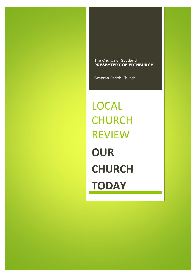The Church of Scotland **PRESBYTERY OF EDINBURGH**

Granton Parish Church

LOCAL **CHURCH** REVIEW **OUR CHURCH TODAY**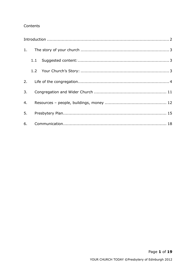## Contents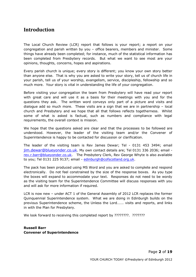# <span id="page-2-0"></span>**Introduction**

The Local Church Review (LCR) report that follows is your report; a report on your congregation and parish written by you – office bearers, members and minister. Some things have already been completed; for instance, much of the statistical information has been completed from Presbytery records. But what we want to see most are your opinions, thoughts, concerns, hopes and aspirations.

Every parish church is unique; every story is different; you know your own story better than anyone else. That is why you are asked to write your story, tell us of church life in your parish, tell us of your worship, evangelism, service, discipleship, fellowship and so much more. Your story is vital in understanding the life of your congregation.

Before visiting your congregation the team from Presbytery will have read your report with great care and will use it as a basis for their meetings with you and for the questions they ask. The written word conveys only part of a picture and visits and dialogue add so much more. These visits are a sign that we are in partnership – local church and Presbytery and we hope that all that follows reflects togetherness. Whilst some of what is asked is factual, such as numbers and compliance with legal requirements, the overall context is mission.

We hope that the questions asked are clear and that the processes to be followed are understood. However, the leader of the visiting team and/or the Convener of Superintendence is happy to be contacted for discussion or clarification.

The leader of the visiting team is Rev James Dewar; Tel - 0131 453 3494; email [jim.dewar@blueyonder.co.uk](mailto:jim.dewar@blueyonder.co.uk). My own contact details are; Tel 0131 336 2036; email [rev.r.barr@blueyonder.co.uk.](mailto:rev.r.barr@blueyonder.co.uk) The Presbytery Clerk, Rev George Whyte is also available to you; Tel 0131 225 9137; email - [edinburgh@cofscotland.org.uk.](mailto:edinburgh@cofscotland.org.uk)

The pack has been produced using MS Word and you are asked to complete and respond electronically. Do not feel constrained by the size of the response boxes. As you type the boxes will expand to accommodate your text. Responses do not need to be wordy as the visiting team for the Superintendence Committee will discuss responses with you and will ask for more information if required.

LCR is now new – under ACT 1 of the General Assembly of 2012 LCR replaces the former Quinquennial Superintendence system. What we are doing in Edinburgh builds on the previous Superintendence scheme, the Unless the Lord……. visits and reports, and links in with the Plan for Presbytery.

We look forward to receiving this completed report by ????????. ????????

**Russell Barr Convener of Superintendence**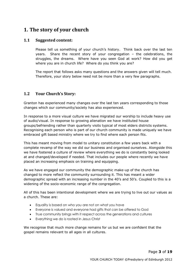# <span id="page-3-0"></span>**1. The story of your church**

## <span id="page-3-1"></span>**1.1 Suggested content:**

Please tell us something of your church's history. Think back over the last ten years. Share the recent story of your congregation – the celebrations, the struggles, the dreams. Where have you seen God at work? How did you get where you are in church life? Where do you think you are?

The report that follows asks many questions and the answers given will tell much. Therefore, your story below need not be more than a very few paragraphs.

## <span id="page-3-2"></span>**1.2 Your Church's Story:**

Granton has experienced many changes over the last ten years corresponding to those changes which our community/society has also experienced.

In response to a more visual culture we have migrated our worship to include heavy use of audio/visual. In response to growing alienation we have instituted house groups/befriending rather than quarterly visits typical of most elders districts systems. Recognising each person who is part of our church community is made uniquely we have embraced gift based ministry where we try to find where each person fits.

This has meant moving from model to unitary constitution a few years back with a complete revamp of the way we did our business and organised ourselves. Alongside this we have fostered a culture of review where everything we do is constantly being looked at and changed/developed if needed. That includes our people where recently we have placed an increasing emphasis on training and equipping.

As we have engaged our community the demographic make-up of the church has changed to more reflect the community surrounding it. This has meant a wider demographic spread with an increasing number in the 40's and 50's. Coupled to this is a widening of the socio-economic range of the congregation.

All of this has been intentional development where we are trying to live out our values as a church. These are:

- Equality is based on who you are not on what you have
- Everyone is valued and everyone had gifts that can be offered to God
- True community brings with it respect across the generations and cultures
- Everything we do is rooted in Jesus Christ

We recognise that much more change remains for us but we are confident that the gospel remains relevant to all ages in all cultures.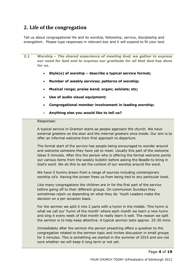# <span id="page-4-0"></span>**2. Life of the congregation**

Tell us about congregational life and its worship, fellowship, service, discipleship and evangelism. Please type responses in relevant box and it will expand to fit your text.

**2.1 Worship** *– The shared experience of meeting God; we gather to express our need for God and to express our gratitude for all that God has done for us.*

- **Style(s) of worship – describe a typical service format;**
- **Number of weekly services; patterns of worship;**
- **Musical range; praise band; organ; soloists; etc;**
- **Use of audio visual equipment;**
- **Congregational member involvement in leading worship;**
- **Anything else you would like to tell us?**

### Responses:

A typical service in Granton starts as people approach the church. We have external greeters on the door and the internal greeters once inside. Our aim is to offer an informal welcome from first approach to departure.

The formal start of the service has people being encouraged to wonder around and welcome someone they have yet to meet. Usually this part of the welcome takes 5 minutes. After this the person who is offering the formal welcome points out various items from the weekly bulletin before asking the Beadle to bring in God's word. We do this to set the context of our worship around the word.

We have 5 hymns drawn from a range of sources including contemporary worship cd's. Having the screen frees us from being tied to any particular book.

Like many congregations the children are in for the first part of the service before going off to their different groups. On communion Sundays they sometimes rejoin us depending on what they do. Youth Leaders make the decision on a per occasion basis.

For the sermon we split it into 2 parts with a hymn in the middle. This hymn is what we call our 'hymn of the month' where each month we learn a new hymn and sing it every week of that month to really learn it well. The reason we split the sermon is to help keep attentive. A typical sermon lasts approx. 25-30 mins.

Immediately after the sermon the person preaching offers a question to the congregation related to the sermon topic and invites discussion in small groups for 5 minutes. This is something we started in the summer of 2015 and are not sure whether we will keep it long term or not yet.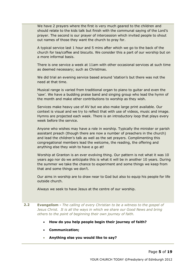We have 2 prayers where the first is very much geared to the children and should relate to the kids talk but finish with the communal saying of the Lord's prayer. The second is our prayer of intercession which invited people to shout out names of those they want the church to pray for.

A typical service last 1 hour and 5 mins after which we go to the back of the church for tea/coffee and biscuits. We consider this a part of our worship but on a more informal basis.

There is one service a week at 11am with other occasional services at such time as deemed necessary; such as Christmas.

We did trial an evening service based around 'station's but there was not the need at that time.

Musical range is varied from traditional organ to piano to guitar and even the 'saw'. We have a budding praise band and singing group who lead the hymn of the month and make other contributions to worship as they wish.

Services make heavy use of AV but we also make large print available. Our context is visual and we try to reflect that with use of videos, music and image. Hymns are projected each week. There is an introductory loop that plays every week before the service.

Anyone who wishes may have a role in worship. Typically the minister or parish assistant preach (though there are now a number of preachers in the church) and lead the children's talk as well as the set prayers. Complimenting this congregational members lead the welcome, the reading, the offering and anything else they wish to have a go at!

Worship at Granton is an ever evolving thing. Our pattern is not what it was 10 years ago nor do we anticipate this is what it will be in another 10 years. During the summer we take the chance to experiment and some things we keep from that and some things we don't.

Our aims in worship are to draw near to God but also to equip his people for life outside church.

Always we seek to have Jesus at the centre of our worship.

- **2.2 Evangelism -** *The calling of every Christian to be a witness to the gospel of Jesus Christ. It is all the ways in which we share our Good News and bring others to the point of beginning their own journey of faith.*
	- **How do you help people begin their journey of faith?**
	- **Communication;**
	- **Anything else you would like to say?**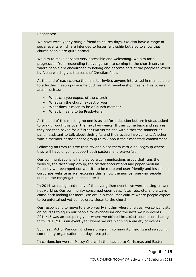#### Responses:

We have twice yearly bring a friend to church days. We also have a range of social events which are intended to foster fellowship but also to show that church people are quite normal.

We aim to make services very accessible and welcoming. We aim for a progression from responding to evangelism, to coming to the church service where people are encouraged to belong and become part of the people followed by Alpha which gives the basis of Christian faith.

At the end of each course the minister invites anyone interested in membership to a further meeting where he outlines what membership means. This covers areas such as:

- What can you expect of the church
- What can the church expect of you
- What does it mean to be a Church member
- What it means to be Presbyterian

At the end of this meeting no one is asked for a decision but are instead asked to pray through this over the next two weeks. If they come back and say yes they are then asked for a further two visits; one with either the minister or parish assistant to talk about their gifts and their active involvement. Another with a member of the finance group to talk about their monetary commitment.

Following on from this we then try and place them with a housegroup where they will have ongoing support both pastoral and prayerful.

Our communications is handled by a communications group that runs the website, the facegroup group, the twitter account and any paper medium. Recently we revamped our website to be more end user friendly and less like a corporate website as we recognise this is now the number one way people outside the congregation encounter it

In 2014 we recognised many of the evangelism events we were putting on were not working. Our community consumed open days, fetes, etc, etc, and always came back looking for more. We are in a consumer culture where people expect to be entertained yet do not grow closer to the church.

Our response is to move to a two yearly rhythm where one year we concentrate on courses to equip our people for evangelism and the next we run events. 2014/15 was an equipping year where we offered breakfast courses on sharing faith. 2015/16 is an event year where we are planning a variety of events.

Such as : Act of Random Kindness program, community making and swapping, community organisation hub days, etc , etc.

In conjunction we run Messy Church in the lead up to Christmas and Easter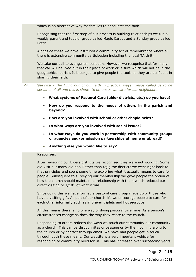which is an alternative way for families to encounter the faith.

Recognising that the first step of our process is building relationships we run a weekly parent and toddler group called Magic Carpet and a Sunday group called Patch.

Alongside these we have instituted a community act of remembrance where all there is extensive community participation including the local TA Unit.

We take our call to evangelism seriously. However we recognise that for many that call will be lived out in their place of work or leisure which will not be in the geographical parish. It is our job to give people the tools so they are confident in sharing their faith.

**2.3 Service -** *The living out of our faith in practical ways. Jesus called us to be servants of all and this is shown to others as we care for our neighbours.*

- **What systems of Pastoral Care (elder districts, etc.) do you have?**
- **How do you respond to the needs of others in the parish and beyond?**
- **How are you involved with school or other chaplaincies?**
- **In what ways are you involved with social issues?**
- **In what ways do you work in partnership with community groups or agencies and/or mission partnerships at home or abroad?**
- **Anything else you would like to say?**

#### Responses:

After reviewing our Elders districts we recognised they were not working. Some did visit but many did not. Rather than rejig the districts we went right back to first principles and spent some time exploring what it actually means to care for people. Subsequent to surveying our membership we gave people the option of how the church should maintain its relationship with them which reduced our direct visiting to  $1/10^{th}$  of what it was.

Since doing this we have formed a pastoral care group made up of those who have a visiting gift. As part of our church life we encourage people to care for each other informally such as in prayer triplets and housegroups.

All this means there is no one way of doing pastoral care here. As a person's circumstances change so does the way they relate to the church.

Responding to others reflects the ways we touch our community our community as a church. This can be through rites of passage or by them coming along to the church or by contact through email. We have had people get in touch through both these means. Our website is a very important vehicle for responding to community need for us. This has increased over succeeding years.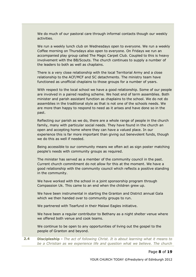We do much of our pastoral care through informal contacts though our weekly activities.

We run a weekly lunch club on Wednesdays open to everyone. We run a weekly Coffee morning on Thursdays also open to everyone. On Fridays we run an accompanied play group called The Magic Carpet Club. Coupled to this is heavy involvement with the BB/Scouts. The church continues to supply a number of the leaders to both as well as chaplains.

There is a very close relationship with the local Territorial Army and a close relationship to the ACF/MCF and SC detachments. The ministry team have functioned as unofficial chaplains to those groups for a number of years.

With respect to the local school we have a good relationship. Some of our people are involved in a paired reading scheme. We host end of term assemblies. Both minister and parish assistant function as chaplains to the school. We do not do assemblies in the traditional style as that is not one of the schools needs. We are more than happy to respond to need as it arises and have done so in the past.

Reflecting our parish as we do, there are a whole range of people in the church family, many with particular social needs. They have found in the church an open and accepting home where they can have a valued place. In our experience this is far more important than giving out benevolent funds, though we do this as well if needed.

Being accessible to our community means we often act as sign poster matching people's needs with community groups as required.

The minister has served as a member of the community council in the past. Current church commitment do not allow for this at the moment. We have a good relationship with the community council which reflects a positive standing in the community.

We have worked with the school in a joint sponsorship program through Compassion Uk. This came to an end when the children grew up.

We have been instrumental in starting the Granton and District annual Gala which we then handed over to community groups to run.

We partnered with Tearfund in their Malawi Eagles initiative.

We have been a regular contributor to Bethany as a night shelter venue where we offered both venue and cook teams.

We continue to be open to any opportunities of living out the gospel to the people of Granton and beyond.

**2.4 Discipleship -** *The act of following Christ. It is about learning what it means to be a Christian as we experience life and question what we believe. The church*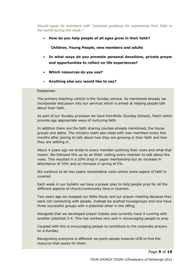*should equip its members with "practical guidance for expressing their faith in the world during the week."*

**How do you help people of all ages grow in their faith?**

 **Children, Young People, new members and adults**

- **In what ways do you promote personal devotions, private prayer and opportunities to reflect on life experiences?**
- **Which resources do you use?**
- **Anything else you would like to say?**

#### Responses:

The primary teaching vehicle is the Sunday service. As mentioned already we incorporate discussion into our services which is aimed at helping people talk about their faith.

As part of our Sunday provision we have Kirk4Kids (Sunday School), Patch which provide age appropriate ways of nurturing faith.

In addition there are the faith sharing courses already mentioned, the house groups and alpha. The ministry team also meet with new members every few months after joining to talk about how they are growing in their faith and how they are settling in.

About 4 years ago we wrote to every member outlining their vows and what that meant. We followed this up by an Elder visiting every member to talk about the vows. This resulted in a 20% drop in paper membership but an increase in attendance of 10% and an increase in giving of 5%.

We continue to do two yearly stewardship visits where some aspect of faith is covered.

Each week in our bulletin we have a prayer plan to help people pray for all the different aspects of church/community here in Granton.

Two years ago we stopped our Bible Study and our prayer meeting because they were not connecting with people. Instead we pushed housegroups and now have three successful groups with a potential other in the offing.

Alongside that we developed prayer triplets and currently have 4 running with another potential 3-4. This has worked very well in encouraging people to pray.

Coupled with this is encouraging people to contribute to the corporate prayers on a Sunday.

Recognising everyone is different we point people towards UCB to find the resource that works for them.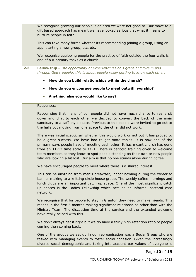We recognise growing our people is an area we were not good at. Our move to a gift based approach has meant we have looked seriously at what it means to nurture people in faith.

This can take many forms whether its recommending joining a group, using an app, starting a new group, etc, etc.

We recognise equipping people for the practice of faith outside the four walls is one of our primary tasks as a church.

**2.5 Fellowship -** *The opportunity of experiencing God's grace and love in and through God's people; this is about people really getting to know each other.*

- **How do you build relationships within the church?**
- **How do you encourage people to meet outwith worship?**
- **Anything else you would like to say?**

#### Responses:

Recognising that many of our people did not have much chance to really sit down and chat to each other we decided to convert the back of the main sanctuary to a café style space. Previous to this people were invited to go out to the halls but moving from one space to the other did not work.

There was initial scepticism whether this would work or not but it has proved to be a great success. We have had to get more tables. It is now one of the primary ways people have of meeting each other. It has meant church has gone from an 11-12 time scale to 11-1. There is periodic training given to welcome team members so they know to spot people standing on their own or new people who are looking a bit lost. Our aim is that no one stands alone during coffee.

We have encouraged people to meet where there is a shared interest.

This can be anything from men's breakfast, indoor bowling during the winter to banner making to a knitting circle house group. The weekly coffee mornings and lunch clubs are an important catch up space. One of the most significant catch up spaces is the Ladies Fellowship which acts as an informal pastoral care network.

We recognise that for people to stay in Granton they need to make friends. This means in the first 6 months making significant relationships other than with the Ministry Team. The discussion time at the service and the extended welcome have really helped with this.

We don't always get it right but we do have a fairly high retention ratio of people coming then coming back.

One of the groups we set up in our reorganisation was a Social Group who are tasked with managing events to foster social cohesion. Given the increasingly diverse social demographic and taking into account our values of everyone is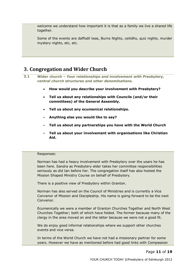welcome we understand how important it is that as a family we live a shared life together.

Some of the events are daffodil teas, Burns Nights, ceilidhs, quiz nights, murder mystery nights, etc, etc.

# <span id="page-11-0"></span>**3. Congregation and Wider Church**

**3.1 Wider church –** *Your relationships and involvement with Presbytery, central church structures and other denominations.*

- **How would you describe your involvement with Presbytery?**
- **Tell us about any relationships with Councils (and/or their committees) of the General Assembly.**
- **Tell us about any ecumenical relationships.**
- **Anything else you would like to say?**
- **Tell us about any partnerships you have with the World Church**
- **Tell us about your involvement with organisations like Christian Aid.**

#### Responses:

Norman has had a heavy involvement with Presbytery over the years he has been here. Sandra as Presbytery elder takes her committee responsibilities seriously as did Ian before her. The congregation itself has also hosted the Mission Shaped Ministry Course on behalf of Presbytery.

There is a positive view of Presbytery within Granton.

Norman has also served on the Council of Ministries and is currently a Vice Convenor of Mission and Discipleship. His name is going forward to be the next Convenor.

Ecumenically we were a member of Granton Churches Together and North West Churches Together; both of which have folded. The former because many of the clergy in the area moved on and the latter because we were not a good fit.

We do enjoy good informal relationships where we support other churches events and vice versa.

In terms of the World Church we have not had a missionary partner for some years. However we have as mentioned before had good links with Compassion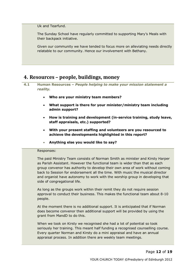Uk and Tearfund.

The Sunday School have regularly committed to supporting Mary's Meals with their backpack initiative.

Given our community we have tended to focus more on alleviating needs directly relatable to our community. Hence our involvement with Bethany.

## <span id="page-12-0"></span>**4. Resources – people, buildings, money**

- **4.1 Human Resources –** *People helping to make your mission statement a reality.* 
	- **Who are your ministry team members?**
	- **What support is there for your minister/ministry team including admin support?**
	- **How is training and development (in-service training, study leave, staff appraisals, etc.) supported?**
	- **With your present staffing and volunteers are you resourced to achieve the developments highlighted in this report?**
	- **Anything else you would like to say?**

#### Responses:

The paid Ministry Team consists of Norman Smith as minister and Kirsty Harper as Parish Assistant. However the functional team is wider than that as each group convenor has authority to develop their own area of work without coming back to Session for endorsement all the time. With music the musical director and organist have autonomy to work with the worship group in developing that side of congregational life.

As long as the groups work within their remit they do not require session approval to conduct their business. This makes the functional team about 8-10 people.

At the moment there is no additional support. It is anticipated that if Norman does become convenor then additional support will be provided by using the grant from MandD to do this.

When we took on Kirsty we recognised she had a lot of potential so took seriously her training. This meant half funding a recognised counselling course. Every quarter Norman and Kirsty do a mini appraisal and have an annual appraisal process. In addition there are weekly team meetings.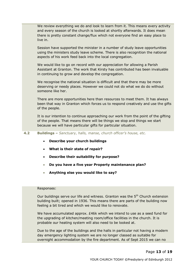We review everything we do and look to learn from it. This means every activity and every season of the church is looked at shortly afterwards. It does mean there is pretty constant change/flux which not everyone find an easy place to live in.

Session have supported the minister in a number of study leave opportunities using the ministers study leave scheme. There is also recognition the national aspects of his work feed back into the local congregation.

We would like to go on record with our appreciation for allowing a Parish Assistant at Granton. The work that Kirsty has contributed has been invaluable in continuing to grow and develop the congregation.

We recognise the national situation is difficult and that there may be more deserving or needy places. However we could not do what we do do without someone like her.

There are more opportunities here than resources to meet them. It has always been that way in Granton which forces us to respond creatively and use the gifts of the people.

It is our intention to continue approaching our work from the point of the gifting of the people. That means there will be things we stop and things we start because we will have particular gifts for particular situation.

**4.2 Buildings –** *Sanctuary, halls, manse, church officer's house, etc.*

- **Describe your church buildings**
- **What is their state of repair?**
- **Describe their suitability for purpose?**
- **Do you have a five year Property maintenance plan?**
- **Anything else you would like to say?**

#### Responses:

Our buildings serve our life and witness. Granton was the 5<sup>th</sup> Church extension building built; opened in 1936. This means there are parts of the building now feeling a bit tired and which we would like to renovate.

We have accumulated approx. £46k which we intend to use as a seed fund for the upgrading of kitchen/meeting room/office facilities in the church. It is probable our heating system will also need to be looked at.

Due to the age of the buildings and the halls in particular not having a modern day emergency lighting system we are no longer classed as suitable for overnight accommodation by the fire department. As of Sept 2015 we can no

Page **13** of **19**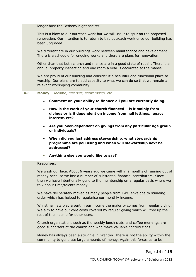longer host the Bethany night shelter.

This is a blow to our outreach work but we will use it to spur on the proposed renovation. Our intention is to return to this outreach work once our building has been upgraded.

We differentiate in our buildings work between maintenance and development. There is a schedule for ongoing works and there are plans for renovation.

Other than that both church and manse are in a good state of repair. There is an annual property inspection and one room a year is decorated at the manse.

We are proud of our building and consider it a beautiful and functional place to worship. Our plans are to add capacity to what we can do so that we remain a relevant worshiping community.

#### **4.3 Money** – *Income, reserves, stewardship, etc.*

- **Comment on your ability to finance all you are currently doing.**
- **How is the work of your church financed – is it mainly from givings or is it dependent on income from hall lettings, legacy interest, etc?**
- **Are you over-dependent on givings from any particular age group or individuals?**
- **When did you last address stewardship, what stewardship programme are you using and when will stewardship next be addressed?**
- **Anything else you would like to say?**

#### Responses:

We wash our face. About 6 years ago we came within 2 months of running out of money because we lost a number of substantial financial contributors. Since then we have intentionally gone to the membership on a regular basis where we talk about time/talents money.

We have deliberately moved as many people from FWO envelope to standing order which has helped to regularise our monthly income.

Whilst hall lets play a part in our income the majority comes from regular giving. We aim to have our core costs covered by regular giving which will free up the rest of the income for other uses.

Church organisations such as the weekly lunch clubs and coffee mornings are good supporters of the church and who make valuable contributions.

Money has always been a struggle in Granton. There is not the ability within the community to generate large amounts of money. Again this forces us to be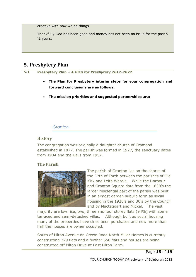creative with how we do things.

Thankfully God has been good and money has not been an issue for the past 5 ½ years.

# <span id="page-15-0"></span>**5. Presbytery Plan**

**5.1 Presbytery Plan** *– A Plan for Presbytery 2012-2022.*

- **The Plan for Presbytery interim steps for your congregation and forward conclusions are as follows:**
- **The mission priorities and suggested partnerships are:**

## *Granton*

## **History**

The congregation was originally a daughter church of Cramond established in 1877. The parish was formed in 1927, the sanctuary dates from 1934 and the Halls from 1957.

## **The Parish**



The parish of Granton lies on the shores of the Firth of Forth between the parishes of Old Kirk and Leith Wardie. While the Harbour and Granton Square date from the 1830's the larger residential part of the parish was built in an almost garden suburb form as social housing in the 1920's and 30's by the Council and by Mactaggart and Mickel. The vast

majority are low rise, two, three and four storey flats (94%) with some terraced and semi-detached villas. Although built as social housing many of the properties have since been purchased and now more than half the houses are owner occupied.

South of Pilton Avenue on Crewe Road North Miller Homes is currently constructing 329 flats and a further 650 flats and houses are being constructed off Pilton Drive at East Pilton Farm.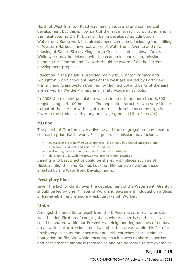North of West Granton Road was mainly industrial and commercial development but this is now part of the larger area, incorporating land in the neighbouring Old Kirk parish, being developed as Edinburgh Waterfront. Some work has already been completed including the infilling of Western Harbour, new roadworks of Waterfront Avenue and new housing at Saltire Street, Kingsburgh Crescent and Lochinvar Drive. While work may be delayed with the economic depression, mission planning for Granton and Old Kirk should be aware of all the current development proposals.

Education in the parish is provided mainly by Granton Primary and Broughton High School but parts of the west are served by Forthview Primary and Craigroyston Community High School and parts of the east are served by Wardie Primary and Trinity Academy schools.

In 2008 the resident population was estimated to be more than 8,500 people living in 4,100 houses. The population structure was very similar to that of the city but with slightly more children balanced by slightly fewer in the student and young adult age groups (16 to 44 years).

## **Mission**

The parish of Granton is very diverse and the congregation may need to choose to prioritise its work. Focal points for mission may include:

- outreach in the Waterfront Developments this should be a shared enterprise with Newhaven, Old Kirk, and Leith North and South
- welcoming the new immigrant population in the parish, and
- developing links with the groups with use the church premises.

Insights and best practice could be shared with places such as St Nicholas' Sighthill and Kaimes Lockhart Memorial, as well as those affected by the Waterfront Developments.

## **Presbytery Plan**

Given the lack of clarity over the development of the Waterfront, Granton should be led by one Minister of Word and Sacrament inducted on a Basis of Reviewable Tenure and a Presbytery/Parish Worker.

## **Links**

Amongst the benefits to result from the *Unless the Lord* review process was the identification of congregations where expertise and best practice could be shared within our Presbytery. Neighbouring parishes often have areas with similar missional needs, and certain areas within this Plan for Presbytery, such as the inner city and Leith churches share a similar population profile. We would encourage such places to share expertise and best practice amongst themselves and are delighted to see examples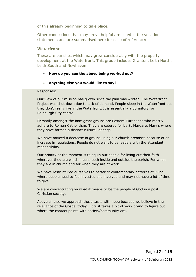of this already beginning to take place.

Other connections that may prove helpful are listed in the vocation statements and are summarised here for ease of reference:

### **Waterfront**

These are parishes which may grow considerably with the property development at the Waterfront. This group includes Granton, Leith North, Leith South and Newhaven.

### **How do you see the above being worked out?**

### **Anything else you would like to say?**

### Responses:

Our view of our mission has grown since the plan was written. The Waterfront Project was shut down due to lack of demand. People sleep in the Waterfront but they don't really live in the Waterfront. It is essentially a dormitory for Edinburgh City centre.

Primarily amongst the immigrant groups are Eastern Europeans who mostly adhere to Roman Catholicism. They are catered for by St Margaret Mary's where they have formed a distinct cultural identity.

We have noticed a decrease in groups using our church premises because of an increase in regulations. People do not want to be leaders with the attendant responsibility.

Our priority at the moment is to equip our people for living out their faith wherever they are which means both inside and outside the parish. For when they are in church and for when they are at work.

We have restructured ourselves to better fit contemporary patterns of living where people need to feel invested and involved and may not have a lot of time to give.

We are concentrating on what it means to be the people of God in a post Christian society.

Above all else we approach these tasks with hope because we believe in the relevance of the Gospel today. It just takes a bit of work trying to figure out where the contact points with society/community are.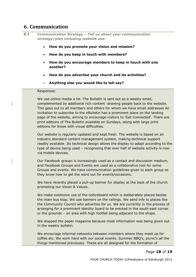## <span id="page-18-0"></span>**6. Communication**

- **6.1 Communication Strategy –** *Tell us about your communication strategy/plan including website use:*
	- **How do you promote your vision and mission?**
	- **How do you keep in touch with members?**
	- **How do you encourage members to keep in touch with one another?**
	- **How do you advertise your church and its activities?**
	- **Anything else you would like to tell say?**

#### Responses:

We use online media a lot. The Bulletin is sent out as a weekly email, complemented by additional rich content -drawing people back to the website. This goes out to all members and others for whom we have email addresses An invitation to subscribe to the eBulletin has a prominent place on the landing page of the website, aiming to encourage visitors to 'Get Connected'. There are print editions of The Bulletin available on Sundays, along with large print editions for those with visual difficulties.

Our website is regularly updated and kept fresh. The website is based on an industry standard content management system, making technical support readily available. Its technical design allows the display to adapt according to the type of device being used – recognising that over half of website activity is now via mobile devices.

Our Facebook groups is increasingly used as a contact and discussion medium, and Facebook Groups and Events are used as a collaborative tool for some Groups and events. We have communication guidelines given to each group so they know how to get the word out for events/occasions.

We have recently placed a pull-up banner for display at the back of the church promoting our Vision & Values.

We make extensive use of the noticeboard which is deliberately placed beside the main bus stop. We use banners on the railings. We send info to places like the Community Council who advertise for us. We are currently in the process of arranging for a prominent identity board to be erected in the south east corner or the grounds – an area with high footfall being adjacent to the shops.

We stopped the paper magazine because most information was being given out in the weekly bulletin.

We encourage informal networks between members where they meet up for coffee etc. We work hard with our social events. Summer BBQ's, picnic's all the things mentioned previously. These are all designed for the formation of